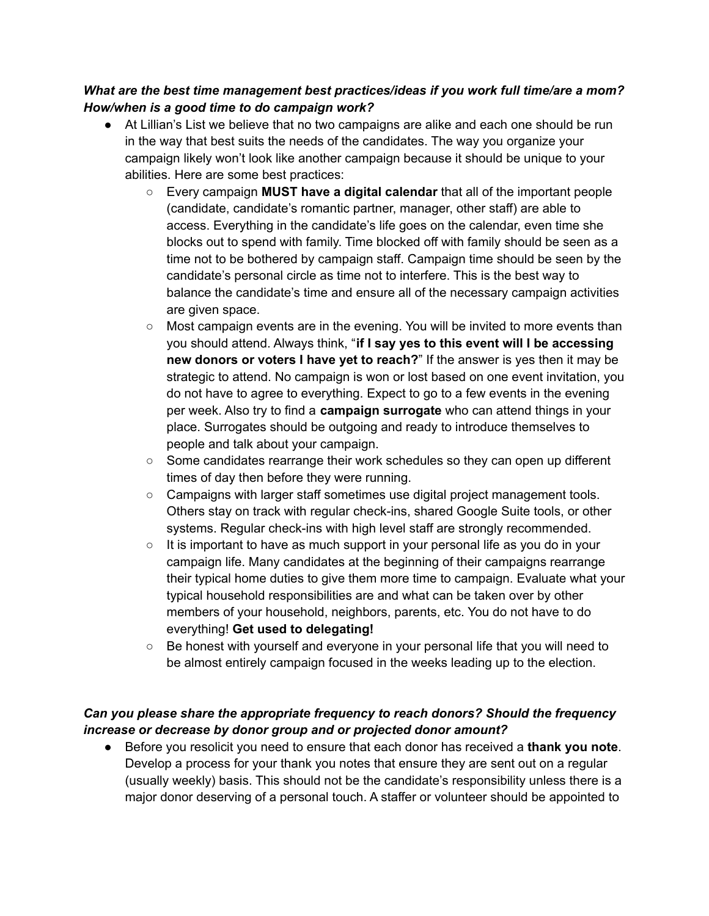## *What are the best time management best practices/ideas if you work full time/are a mom? How/when is a good time to do campaign work?*

- At Lillian's List we believe that no two campaigns are alike and each one should be run in the way that best suits the needs of the candidates. The way you organize your campaign likely won't look like another campaign because it should be unique to your abilities. Here are some best practices:
	- Every campaign **MUST have a digital calendar** that all of the important people (candidate, candidate's romantic partner, manager, other staff) are able to access. Everything in the candidate's life goes on the calendar, even time she blocks out to spend with family. Time blocked off with family should be seen as a time not to be bothered by campaign staff. Campaign time should be seen by the candidate's personal circle as time not to interfere. This is the best way to balance the candidate's time and ensure all of the necessary campaign activities are given space.
	- $\circ$  Most campaign events are in the evening. You will be invited to more events than you should attend. Always think, "**if I say yes to this event will I be accessing new donors or voters I have yet to reach?**" If the answer is yes then it may be strategic to attend. No campaign is won or lost based on one event invitation, you do not have to agree to everything. Expect to go to a few events in the evening per week. Also try to find a **campaign surrogate** who can attend things in your place. Surrogates should be outgoing and ready to introduce themselves to people and talk about your campaign.
	- $\circ$  Some candidates rearrange their work schedules so they can open up different times of day then before they were running.
	- Campaigns with larger staff sometimes use digital project management tools. Others stay on track with regular check-ins, shared Google Suite tools, or other systems. Regular check-ins with high level staff are strongly recommended.
	- It is important to have as much support in your personal life as you do in your campaign life. Many candidates at the beginning of their campaigns rearrange their typical home duties to give them more time to campaign. Evaluate what your typical household responsibilities are and what can be taken over by other members of your household, neighbors, parents, etc. You do not have to do everything! **Get used to delegating!**
	- Be honest with yourself and everyone in your personal life that you will need to be almost entirely campaign focused in the weeks leading up to the election.

## *Can you please share the appropriate frequency to reach donors? Should the frequency increase or decrease by donor group and or projected donor amount?*

● Before you resolicit you need to ensure that each donor has received a **thank you note**. Develop a process for your thank you notes that ensure they are sent out on a regular (usually weekly) basis. This should not be the candidate's responsibility unless there is a major donor deserving of a personal touch. A staffer or volunteer should be appointed to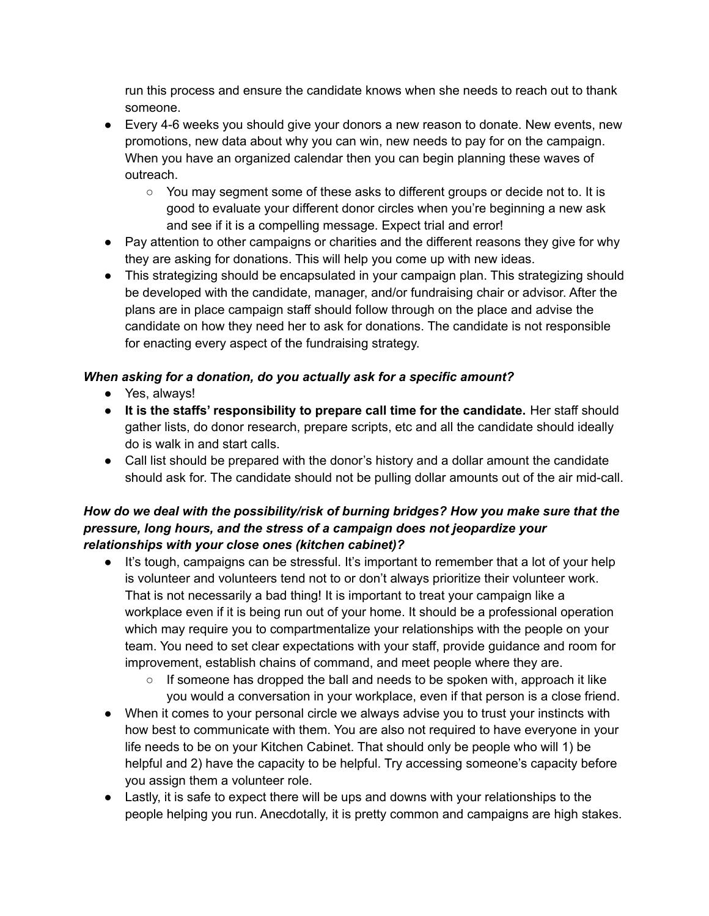run this process and ensure the candidate knows when she needs to reach out to thank someone.

- Every 4-6 weeks you should give your donors a new reason to donate. New events, new promotions, new data about why you can win, new needs to pay for on the campaign. When you have an organized calendar then you can begin planning these waves of outreach.
	- You may segment some of these asks to different groups or decide not to. It is good to evaluate your different donor circles when you're beginning a new ask and see if it is a compelling message. Expect trial and error!
- Pay attention to other campaigns or charities and the different reasons they give for why they are asking for donations. This will help you come up with new ideas.
- This strategizing should be encapsulated in your campaign plan. This strategizing should be developed with the candidate, manager, and/or fundraising chair or advisor. After the plans are in place campaign staff should follow through on the place and advise the candidate on how they need her to ask for donations. The candidate is not responsible for enacting every aspect of the fundraising strategy.

## *When asking for a donation, do you actually ask for a specific amount?*

- Yes, always!
- **It is the staffs' responsibility to prepare call time for the candidate.** Her staff should gather lists, do donor research, prepare scripts, etc and all the candidate should ideally do is walk in and start calls.
- Call list should be prepared with the donor's history and a dollar amount the candidate should ask for. The candidate should not be pulling dollar amounts out of the air mid-call.

## *How do we deal with the possibility/risk of burning bridges? How you make sure that the pressure, long hours, and the stress of a campaign does not jeopardize your relationships with your close ones (kitchen cabinet)?*

- It's tough, campaigns can be stressful. It's important to remember that a lot of your help is volunteer and volunteers tend not to or don't always prioritize their volunteer work. That is not necessarily a bad thing! It is important to treat your campaign like a workplace even if it is being run out of your home. It should be a professional operation which may require you to compartmentalize your relationships with the people on your team. You need to set clear expectations with your staff, provide guidance and room for improvement, establish chains of command, and meet people where they are.
	- $\circ$  If someone has dropped the ball and needs to be spoken with, approach it like you would a conversation in your workplace, even if that person is a close friend.
- When it comes to your personal circle we always advise you to trust your instincts with how best to communicate with them. You are also not required to have everyone in your life needs to be on your Kitchen Cabinet. That should only be people who will 1) be helpful and 2) have the capacity to be helpful. Try accessing someone's capacity before you assign them a volunteer role.
- Lastly, it is safe to expect there will be ups and downs with your relationships to the people helping you run. Anecdotally, it is pretty common and campaigns are high stakes.